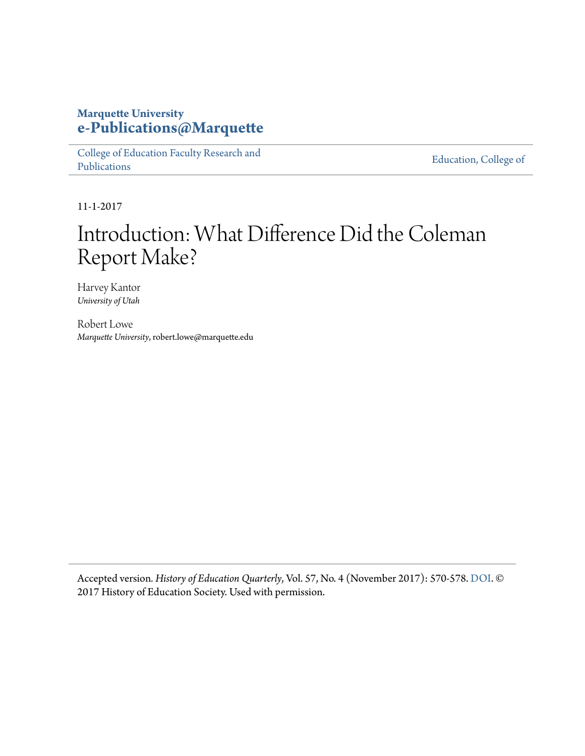#### **Marquette University [e-Publications@Marquette](https://epublications.marquette.edu)**

[College of Education Faculty Research and](https://epublications.marquette.edu/edu_fac) [Publications](https://epublications.marquette.edu/edu_fac)

[Education, College of](https://epublications.marquette.edu/education)

11-1-2017

## Introduction: What Difference Did the Coleman Report Make?

Harvey Kantor *University of Utah*

Robert Lowe *Marquette University*, robert.lowe@marquette.edu

Accepted version*. History of Education Quarterly*, Vol. 57, No. 4 (November 2017): 570-578. [DOI](https://doi.org/10.1017/heq.2017.32). © 2017 History of Education Society. Used with permission.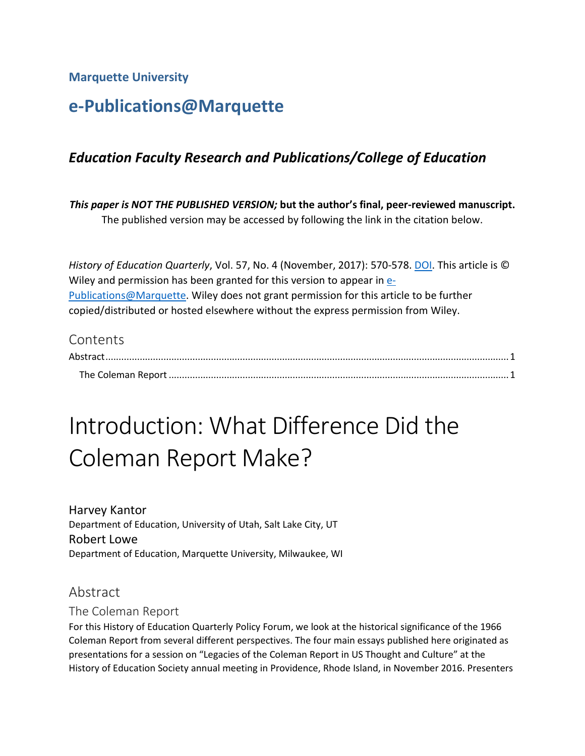**Marquette University**

### **e-Publications@Marquette**

#### *Education Faculty Research and Publications/College of Education*

*This paper is NOT THE PUBLISHED VERSION;* **but the author's final, peer-reviewed manuscript.**  The published version may be accessed by following the link in the citation below.

*History of Education Quarterly*, Vol. 57, No. 4 (November, 2017): 570-578. [DOI.](https://dx.doi.org/10.1017/heq.2017.32) This article is © Wiley and permission has been granted for this version to appear in  $e$ -[Publications@Marquette.](http://epublications.marquette.edu/) Wiley does not grant permission for this article to be further copied/distributed or hosted elsewhere without the express permission from Wiley.

#### Contents

| Abstrac |  |
|---------|--|
|         |  |

# Introduction: What Difference Did the Coleman Report Make?

Harvey Kantor Department of Education, University of Utah, Salt Lake City, UT Robert Lowe Department of Education, Marquette University, Milwaukee, WI

#### <span id="page-1-0"></span>Abstract

#### <span id="page-1-1"></span>The Coleman Report

For this History of Education Quarterly Policy Forum, we look at the historical significance of the 1966 Coleman Report from several different perspectives. The four main essays published here originated as presentations for a session on "Legacies of the Coleman Report in US Thought and Culture" at the History of Education Society annual meeting in Providence, Rhode Island, in November 2016. Presenters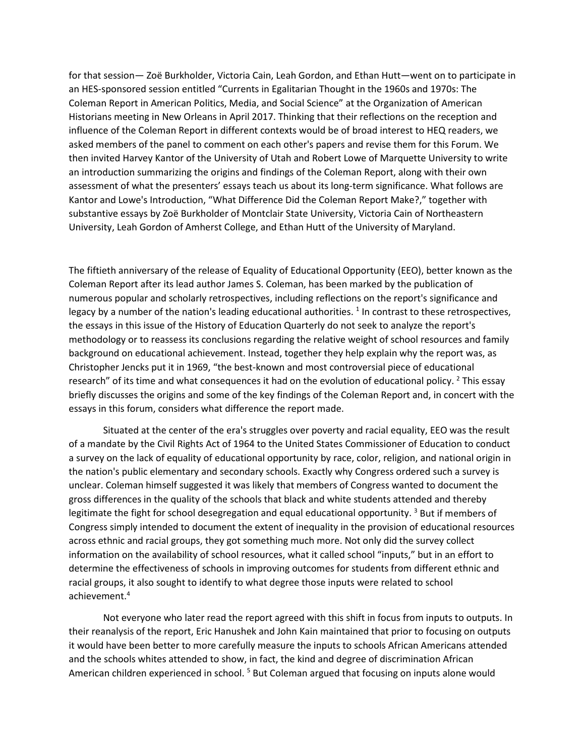for that session— Zoë Burkholder, Victoria Cain, Leah Gordon, and Ethan Hutt—went on to participate in an HES-sponsored session entitled "Currents in Egalitarian Thought in the 1960s and 1970s: The Coleman Report in American Politics, Media, and Social Science" at the Organization of American Historians meeting in New Orleans in April 2017. Thinking that their reflections on the reception and influence of the Coleman Report in different contexts would be of broad interest to HEQ readers, we asked members of the panel to comment on each other's papers and revise them for this Forum. We then invited Harvey Kantor of the University of Utah and Robert Lowe of Marquette University to write an introduction summarizing the origins and findings of the Coleman Report, along with their own assessment of what the presenters' essays teach us about its long-term significance. What follows are Kantor and Lowe's Introduction, "What Difference Did the Coleman Report Make?," together with substantive essays by Zoë Burkholder of Montclair State University, Victoria Cain of Northeastern University, Leah Gordon of Amherst College, and Ethan Hutt of the University of Maryland.

The fiftieth anniversary of the release of Equality of Educational Opportunity (EEO), better known as the Coleman Report after its lead author James S. Coleman, has been marked by the publication of numerous popular and scholarly retrospectives, including reflections on the report's significance and legacy by a number of the nation's leading educational authorities.  $1$  In contrast to these retrospectives, the essays in this issue of the History of Education Quarterly do not seek to analyze the report's methodology or to reassess its conclusions regarding the relative weight of school resources and family background on educational achievement. Instead, together they help explain why the report was, as Christopher Jencks put it in 1969, "the best-known and most controversial piece of educational research" of its time and what consequences it had on the evolution of educational policy. <sup>2</sup> This essay briefly discusses the origins and some of the key findings of the Coleman Report and, in concert with the essays in this forum, considers what difference the report made.

Situated at the center of the era's struggles over poverty and racial equality, EEO was the result of a mandate by the Civil Rights Act of 1964 to the United States Commissioner of Education to conduct a survey on the lack of equality of educational opportunity by race, color, religion, and national origin in the nation's public elementary and secondary schools. Exactly why Congress ordered such a survey is unclear. Coleman himself suggested it was likely that members of Congress wanted to document the gross differences in the quality of the schools that black and white students attended and thereby legitimate the fight for school desegregation and equal educational opportunity.<sup>3</sup> But if members of Congress simply intended to document the extent of inequality in the provision of educational resources across ethnic and racial groups, they got something much more. Not only did the survey collect information on the availability of school resources, what it called school "inputs," but in an effort to determine the effectiveness of schools in improving outcomes for students from different ethnic and racial groups, it also sought to identify to what degree those inputs were related to school achievement.4

Not everyone who later read the report agreed with this shift in focus from inputs to outputs. In their reanalysis of the report, Eric Hanushek and John Kain maintained that prior to focusing on outputs it would have been better to more carefully measure the inputs to schools African Americans attended and the schools whites attended to show, in fact, the kind and degree of discrimination African American children experienced in school.<sup>5</sup> But Coleman argued that focusing on inputs alone would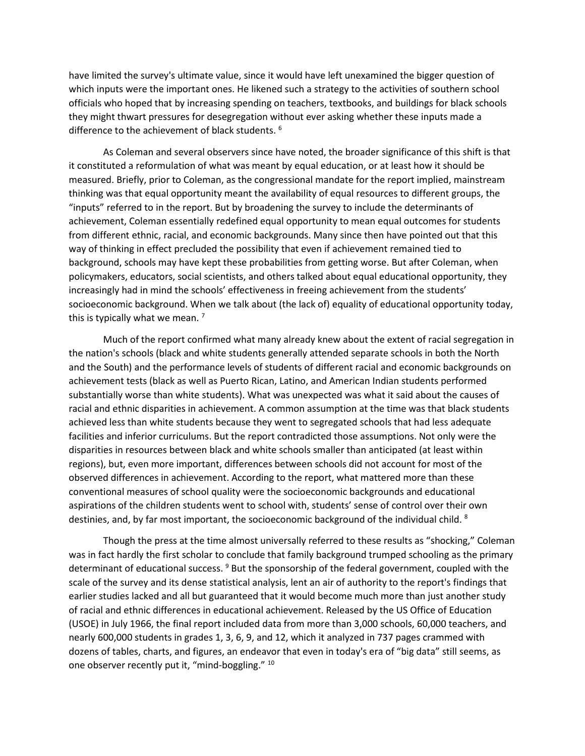have limited the survey's ultimate value, since it would have left unexamined the bigger question of which inputs were the important ones. He likened such a strategy to the activities of southern school officials who hoped that by increasing spending on teachers, textbooks, and buildings for black schools they might thwart pressures for desegregation without ever asking whether these inputs made a difference to the achievement of black students.<sup>6</sup>

As Coleman and several observers since have noted, the broader significance of this shift is that it constituted a reformulation of what was meant by equal education, or at least how it should be measured. Briefly, prior to Coleman, as the congressional mandate for the report implied, mainstream thinking was that equal opportunity meant the availability of equal resources to different groups, the "inputs" referred to in the report. But by broadening the survey to include the determinants of achievement, Coleman essentially redefined equal opportunity to mean equal outcomes for students from different ethnic, racial, and economic backgrounds. Many since then have pointed out that this way of thinking in effect precluded the possibility that even if achievement remained tied to background, schools may have kept these probabilities from getting worse. But after Coleman, when policymakers, educators, social scientists, and others talked about equal educational opportunity, they increasingly had in mind the schools' effectiveness in freeing achievement from the students' socioeconomic background. When we talk about (the lack of) equality of educational opportunity today, this is typically what we mean.  $<sup>7</sup>$ </sup>

Much of the report confirmed what many already knew about the extent of racial segregation in the nation's schools (black and white students generally attended separate schools in both the North and the South) and the performance levels of students of different racial and economic backgrounds on achievement tests (black as well as Puerto Rican, Latino, and American Indian students performed substantially worse than white students). What was unexpected was what it said about the causes of racial and ethnic disparities in achievement. A common assumption at the time was that black students achieved less than white students because they went to segregated schools that had less adequate facilities and inferior curriculums. But the report contradicted those assumptions. Not only were the disparities in resources between black and white schools smaller than anticipated (at least within regions), but, even more important, differences between schools did not account for most of the observed differences in achievement. According to the report, what mattered more than these conventional measures of school quality were the socioeconomic backgrounds and educational aspirations of the children students went to school with, students' sense of control over their own destinies, and, by far most important, the socioeconomic background of the individual child. <sup>8</sup>

Though the press at the time almost universally referred to these results as "shocking," Coleman was in fact hardly the first scholar to conclude that family background trumped schooling as the primary determinant of educational success. <sup>9</sup> But the sponsorship of the federal government, coupled with the scale of the survey and its dense statistical analysis, lent an air of authority to the report's findings that earlier studies lacked and all but guaranteed that it would become much more than just another study of racial and ethnic differences in educational achievement. Released by the US Office of Education (USOE) in July 1966, the final report included data from more than 3,000 schools, 60,000 teachers, and nearly 600,000 students in grades 1, 3, 6, 9, and 12, which it analyzed in 737 pages crammed with dozens of tables, charts, and figures, an endeavor that even in today's era of "big data" still seems, as one observer recently put it, "mind-boggling." 10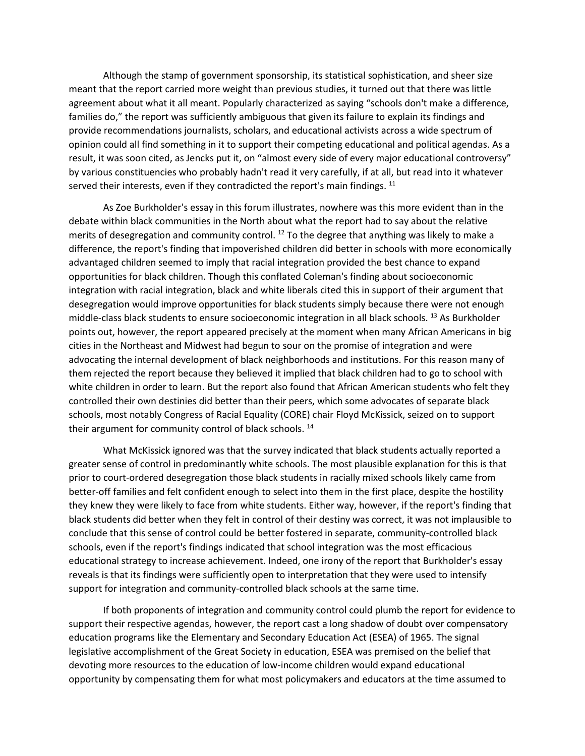Although the stamp of government sponsorship, its statistical sophistication, and sheer size meant that the report carried more weight than previous studies, it turned out that there was little agreement about what it all meant. Popularly characterized as saying "schools don't make a difference, families do," the report was sufficiently ambiguous that given its failure to explain its findings and provide recommendations journalists, scholars, and educational activists across a wide spectrum of opinion could all find something in it to support their competing educational and political agendas. As a result, it was soon cited, as Jencks put it, on "almost every side of every major educational controversy" by various constituencies who probably hadn't read it very carefully, if at all, but read into it whatever served their interests, even if they contradicted the report's main findings.  $11$ 

As Zoe Burkholder's essay in this forum illustrates, nowhere was this more evident than in the debate within black communities in the North about what the report had to say about the relative merits of desegregation and community control. <sup>12</sup> To the degree that anything was likely to make a difference, the report's finding that impoverished children did better in schools with more economically advantaged children seemed to imply that racial integration provided the best chance to expand opportunities for black children. Though this conflated Coleman's finding about socioeconomic integration with racial integration, black and white liberals cited this in support of their argument that desegregation would improve opportunities for black students simply because there were not enough middle-class black students to ensure socioeconomic integration in all black schools. 13 As Burkholder points out, however, the report appeared precisely at the moment when many African Americans in big cities in the Northeast and Midwest had begun to sour on the promise of integration and were advocating the internal development of black neighborhoods and institutions. For this reason many of them rejected the report because they believed it implied that black children had to go to school with white children in order to learn. But the report also found that African American students who felt they controlled their own destinies did better than their peers, which some advocates of separate black schools, most notably Congress of Racial Equality (CORE) chair Floyd McKissick, seized on to support their argument for community control of black schools.<sup>14</sup>

What McKissick ignored was that the survey indicated that black students actually reported a greater sense of control in predominantly white schools. The most plausible explanation for this is that prior to court-ordered desegregation those black students in racially mixed schools likely came from better-off families and felt confident enough to select into them in the first place, despite the hostility they knew they were likely to face from white students. Either way, however, if the report's finding that black students did better when they felt in control of their destiny was correct, it was not implausible to conclude that this sense of control could be better fostered in separate, community-controlled black schools, even if the report's findings indicated that school integration was the most efficacious educational strategy to increase achievement. Indeed, one irony of the report that Burkholder's essay reveals is that its findings were sufficiently open to interpretation that they were used to intensify support for integration and community-controlled black schools at the same time.

If both proponents of integration and community control could plumb the report for evidence to support their respective agendas, however, the report cast a long shadow of doubt over compensatory education programs like the Elementary and Secondary Education Act (ESEA) of 1965. The signal legislative accomplishment of the Great Society in education, ESEA was premised on the belief that devoting more resources to the education of low-income children would expand educational opportunity by compensating them for what most policymakers and educators at the time assumed to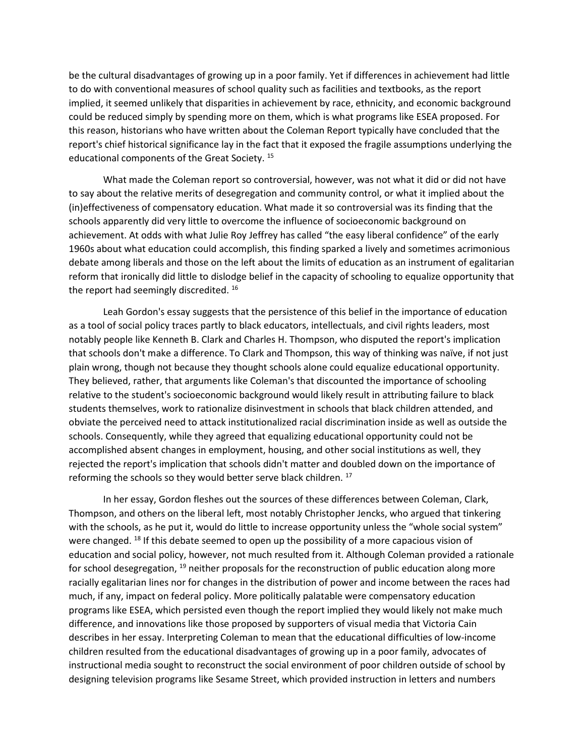be the cultural disadvantages of growing up in a poor family. Yet if differences in achievement had little to do with conventional measures of school quality such as facilities and textbooks, as the report implied, it seemed unlikely that disparities in achievement by race, ethnicity, and economic background could be reduced simply by spending more on them, which is what programs like ESEA proposed. For this reason, historians who have written about the Coleman Report typically have concluded that the report's chief historical significance lay in the fact that it exposed the fragile assumptions underlying the educational components of the Great Society.<sup>15</sup>

What made the Coleman report so controversial, however, was not what it did or did not have to say about the relative merits of desegregation and community control, or what it implied about the (in)effectiveness of compensatory education. What made it so controversial was its finding that the schools apparently did very little to overcome the influence of socioeconomic background on achievement. At odds with what Julie Roy Jeffrey has called "the easy liberal confidence" of the early 1960s about what education could accomplish, this finding sparked a lively and sometimes acrimonious debate among liberals and those on the left about the limits of education as an instrument of egalitarian reform that ironically did little to dislodge belief in the capacity of schooling to equalize opportunity that the report had seemingly discredited.<sup>16</sup>

Leah Gordon's essay suggests that the persistence of this belief in the importance of education as a tool of social policy traces partly to black educators, intellectuals, and civil rights leaders, most notably people like Kenneth B. Clark and Charles H. Thompson, who disputed the report's implication that schools don't make a difference. To Clark and Thompson, this way of thinking was naïve, if not just plain wrong, though not because they thought schools alone could equalize educational opportunity. They believed, rather, that arguments like Coleman's that discounted the importance of schooling relative to the student's socioeconomic background would likely result in attributing failure to black students themselves, work to rationalize disinvestment in schools that black children attended, and obviate the perceived need to attack institutionalized racial discrimination inside as well as outside the schools. Consequently, while they agreed that equalizing educational opportunity could not be accomplished absent changes in employment, housing, and other social institutions as well, they rejected the report's implication that schools didn't matter and doubled down on the importance of reforming the schools so they would better serve black children.<sup>17</sup>

In her essay, Gordon fleshes out the sources of these differences between Coleman, Clark, Thompson, and others on the liberal left, most notably Christopher Jencks, who argued that tinkering with the schools, as he put it, would do little to increase opportunity unless the "whole social system" were changed. <sup>18</sup> If this debate seemed to open up the possibility of a more capacious vision of education and social policy, however, not much resulted from it. Although Coleman provided a rationale for school desegregation, <sup>19</sup> neither proposals for the reconstruction of public education along more racially egalitarian lines nor for changes in the distribution of power and income between the races had much, if any, impact on federal policy. More politically palatable were compensatory education programs like ESEA, which persisted even though the report implied they would likely not make much difference, and innovations like those proposed by supporters of visual media that Victoria Cain describes in her essay. Interpreting Coleman to mean that the educational difficulties of low-income children resulted from the educational disadvantages of growing up in a poor family, advocates of instructional media sought to reconstruct the social environment of poor children outside of school by designing television programs like Sesame Street, which provided instruction in letters and numbers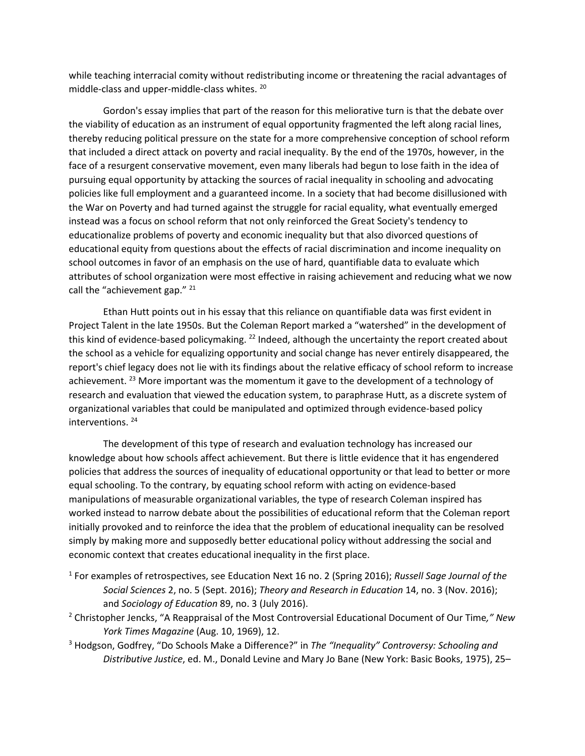while teaching interracial comity without redistributing income or threatening the racial advantages of middle-class and upper-middle-class whites. 20

Gordon's essay implies that part of the reason for this meliorative turn is that the debate over the viability of education as an instrument of equal opportunity fragmented the left along racial lines, thereby reducing political pressure on the state for a more comprehensive conception of school reform that included a direct attack on poverty and racial inequality. By the end of the 1970s, however, in the face of a resurgent conservative movement, even many liberals had begun to lose faith in the idea of pursuing equal opportunity by attacking the sources of racial inequality in schooling and advocating policies like full employment and a guaranteed income. In a society that had become disillusioned with the War on Poverty and had turned against the struggle for racial equality, what eventually emerged instead was a focus on school reform that not only reinforced the Great Society's tendency to educationalize problems of poverty and economic inequality but that also divorced questions of educational equity from questions about the effects of racial discrimination and income inequality on school outcomes in favor of an emphasis on the use of hard, quantifiable data to evaluate which attributes of school organization were most effective in raising achievement and reducing what we now call the "achievement gap." 21

Ethan Hutt points out in his essay that this reliance on quantifiable data was first evident in Project Talent in the late 1950s. But the Coleman Report marked a "watershed" in the development of this kind of evidence-based policymaking. <sup>22</sup> Indeed, although the uncertainty the report created about the school as a vehicle for equalizing opportunity and social change has never entirely disappeared, the report's chief legacy does not lie with its findings about the relative efficacy of school reform to increase achievement. <sup>23</sup> More important was the momentum it gave to the development of a technology of research and evaluation that viewed the education system, to paraphrase Hutt, as a discrete system of organizational variables that could be manipulated and optimized through evidence-based policy interventions. 24

The development of this type of research and evaluation technology has increased our knowledge about how schools affect achievement. But there is little evidence that it has engendered policies that address the sources of inequality of educational opportunity or that lead to better or more equal schooling. To the contrary, by equating school reform with acting on evidence-based manipulations of measurable organizational variables, the type of research Coleman inspired has worked instead to narrow debate about the possibilities of educational reform that the Coleman report initially provoked and to reinforce the idea that the problem of educational inequality can be resolved simply by making more and supposedly better educational policy without addressing the social and economic context that creates educational inequality in the first place.

- <sup>1</sup> For examples of retrospectives, see Education Next 16 no. 2 (Spring 2016); *Russell Sage Journal of the Social Sciences* 2, no. 5 (Sept. 2016); *Theory and Research in Education* 14, no. 3 (Nov. 2016); and *Sociology of Education* 89, no. 3 (July 2016).
- <sup>2</sup> Christopher Jencks, "A Reappraisal of the Most Controversial Educational Document of Our Time*," New York Times Magazine* (Aug. 10, 1969), 12.
- <sup>3</sup> Hodgson, Godfrey, "Do Schools Make a Difference?" in *The "Inequality" Controversy: Schooling and Distributive Justice*, ed. M., Donald Levine and Mary Jo Bane (New York: Basic Books, 1975), 25–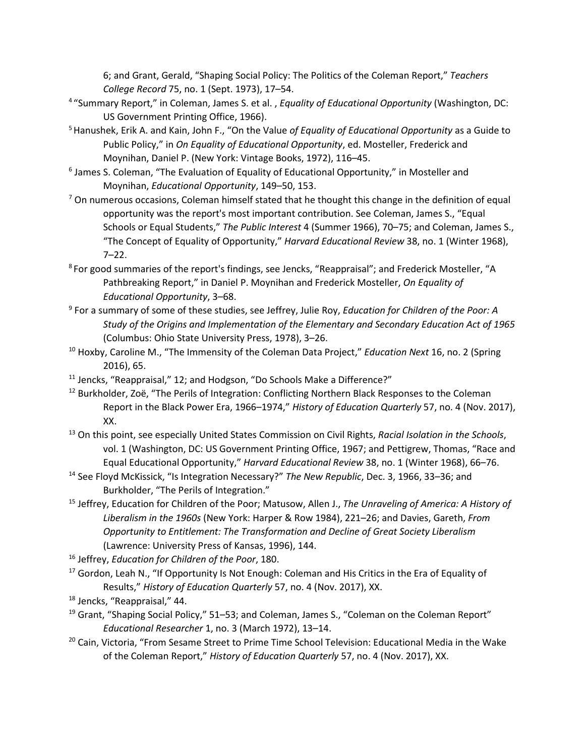6; and Grant, Gerald, "Shaping Social Policy: The Politics of the Coleman Report," *Teachers College Record* 75, no. 1 (Sept. 1973), 17–54.

- 4 "Summary Report," in Coleman, James S. et al. , *Equality of Educational Opportunity* (Washington, DC: US Government Printing Office, 1966).
- 5 Hanushek, Erik A. and Kain, John F., "On the Value *of Equality of Educational Opportunity* as a Guide to Public Policy," in *On Equality of Educational Opportunity*, ed. Mosteller, Frederick and Moynihan, Daniel P. (New York: Vintage Books, 1972), 116–45.
- <sup>6</sup> James S. Coleman, "The Evaluation of Equality of Educational Opportunity," in Mosteller and Moynihan, *Educational Opportunity*, 149–50, 153.
- $7$  On numerous occasions, Coleman himself stated that he thought this change in the definition of equal opportunity was the report's most important contribution. See Coleman, James S., "Equal Schools or Equal Students," *The Public Interest* 4 (Summer 1966), 70–75; and Coleman, James S., "The Concept of Equality of Opportunity," *Harvard Educational Review* 38, no. 1 (Winter 1968), 7–22.
- 8 For good summaries of the report's findings, see Jencks, "Reappraisal"; and Frederick Mosteller, "A Pathbreaking Report," in Daniel P. Moynihan and Frederick Mosteller, *On Equality of Educational Opportunity*, 3–68.
- <sup>9</sup> For a summary of some of these studies, see Jeffrey, Julie Roy, *Education for Children of the Poor: A Study of the Origins and Implementation of the Elementary and Secondary Education Act of 1965* (Columbus: Ohio State University Press, 1978), 3–26.
- <sup>10</sup> Hoxby, Caroline M., "The Immensity of the Coleman Data Project," *Education Next* 16, no. 2 (Spring 2016), 65.
- $11$  Jencks, "Reappraisal," 12; and Hodgson, "Do Schools Make a Difference?"
- <sup>12</sup> Burkholder, Zoë, "The Perils of Integration: Conflicting Northern Black Responses to the Coleman Report in the Black Power Era, 1966–1974," *History of Education Quarterly* 57, no. 4 (Nov. 2017), XX.
- <sup>13</sup> On this point, see especially United States Commission on Civil Rights, *Racial Isolation in the Schools*, vol. 1 (Washington, DC: US Government Printing Office, 1967; and Pettigrew, Thomas, "Race and Equal Educational Opportunity," *Harvard Educational Review* 38, no. 1 (Winter 1968), 66–76.
- <sup>14</sup> See Floyd McKissick, "Is Integration Necessary?" *The New Republic*, Dec. 3, 1966, 33–36; and Burkholder, "The Perils of Integration."
- <sup>15</sup> Jeffrey, Education for Children of the Poor; Matusow, Allen J., *The Unraveling of America: A History of Liberalism in the 1960s* (New York: Harper & Row 1984), 221–26; and Davies, Gareth, *From Opportunity to Entitlement: The Transformation and Decline of Great Society Liberalism* (Lawrence: University Press of Kansas, 1996), 144.

<sup>16</sup> Jeffrey, *Education for Children of the Poor*, 180.

- $17$  Gordon, Leah N., "If Opportunity Is Not Enough: Coleman and His Critics in the Era of Equality of Results," *History of Education Quarterly* 57, no. 4 (Nov. 2017), XX.
- <sup>18</sup> Jencks, "Reappraisal," 44.
- $19$  Grant, "Shaping Social Policy," 51–53; and Coleman, James S., "Coleman on the Coleman Report" *Educational Researcher* 1, no. 3 (March 1972), 13–14.
- <sup>20</sup> Cain, Victoria, "From Sesame Street to Prime Time School Television: Educational Media in the Wake of the Coleman Report," *History of Education Quarterly* 57, no. 4 (Nov. 2017), XX.